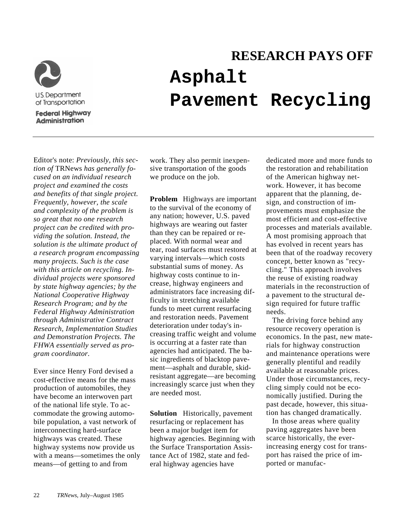

**Federal Highway Administration** 

## **RESEARCH PAYS OFF Asphalt Pavement Recycling**

Editor's note: *Previously, this section of* TRNews *has generally focused on an individual research project and examined the costs and benefits of that single project. Frequently, however, the scale and complexity of the problem is so great that no one research project can be credited with providing the solution. Instead, the solution is the ultimate product of a research program encompassing many projects. Such is the case with this article on recycling. Individual projects were sponsored by state highway agencies; by the National Cooperative Highway Research Program; and by the Federal Highway Administration through Administrative Contract Research, Implementation Studies and Demonstration Projects. The FHWA essentially served as program coordinator.*

Ever since Henry Ford devised a cost-effective means for the mass production of automobiles, they have become an interwoven part of the national life style. To accommodate the growing automobile population, a vast network of interconnecting hard-surface highways was created. These highway systems now provide us with a means—sometimes the only means—of getting to and from

work. They also permit inexpensive transportation of the goods we produce on the job.

**Problem** Highways are important to the survival of the economy of any nation; however, U.S. paved highways are wearing out faster than they can be repaired or replaced. With normal wear and tear, road surfaces must restored at varying intervals—which costs substantial sums of money. As highway costs continue to increase, highway engineers and administrators face increasing difficulty in stretching available funds to meet current resurfacing and restoration needs. Pavement deterioration under today's increasing traffic weight and volume is occurring at a faster rate than agencies had anticipated. The basic ingredients of blacktop pavement—asphalt and durable, skidresistant aggregate—are becoming increasingly scarce just when they are needed most.

**Solution** Historically, pavement resurfacing or replacement has been a major budget item for highway agencies. Beginning with the Surface Transportation Assistance Act of 1982, state and federal highway agencies have

dedicated more and more funds to the restoration and rehabilitation of the American highway network. However, it has become apparent that the planning, design, and construction of improvements must emphasize the most efficient and cost-effective processes and materials available. A most promising approach that has evolved in recent years has been that of the roadway recovery concept, better known as "recycling." This approach involves the reuse of existing roadway materials in the reconstruction of a pavement to the structural design required for future traffic needs.

The driving force behind any resource recovery operation is economics. In the past, new materials for highway construction and maintenance operations were generally plentiful and readily available at reasonable prices. Under those circumstances, recycling simply could not be economically justified. During the past decade, however, this situation has changed dramatically.

In those areas where quality paving aggregates have been scarce historically, the everincreasing energy cost for transport has raised the price of imported or manufac-